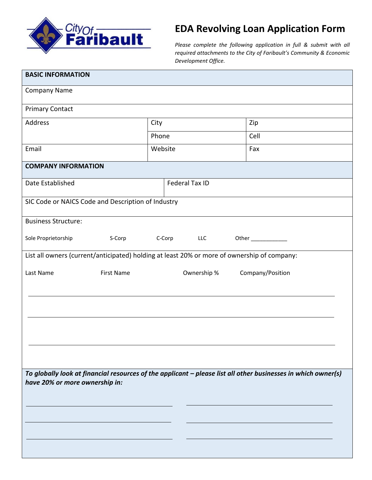

# **EDA Revolving Loan Application Form**

*Please complete the following application in full & submit with all required attachments to the City of Faribault's Community & Economic Development Office.*

| <b>BASIC INFORMATION</b>                                                                                                                        |                      |                       |             |      |                  |  |
|-------------------------------------------------------------------------------------------------------------------------------------------------|----------------------|-----------------------|-------------|------|------------------|--|
| <b>Company Name</b>                                                                                                                             |                      |                       |             |      |                  |  |
| <b>Primary Contact</b>                                                                                                                          |                      |                       |             |      |                  |  |
| Address                                                                                                                                         | City                 |                       |             | Zip  |                  |  |
|                                                                                                                                                 | Phone                |                       |             | Cell |                  |  |
| Email                                                                                                                                           | Website              |                       |             | Fax  |                  |  |
| <b>COMPANY INFORMATION</b>                                                                                                                      |                      |                       |             |      |                  |  |
| Date Established                                                                                                                                |                      | <b>Federal Tax ID</b> |             |      |                  |  |
| SIC Code or NAICS Code and Description of Industry                                                                                              |                      |                       |             |      |                  |  |
| <b>Business Structure:</b>                                                                                                                      |                      |                       |             |      |                  |  |
| Sole Proprietorship<br>S-Corp                                                                                                                   | C-Corp<br><b>LLC</b> |                       |             |      |                  |  |
| List all owners (current/anticipated) holding at least 20% or more of ownership of company:                                                     |                      |                       |             |      |                  |  |
| <b>First Name</b><br>Last Name                                                                                                                  |                      |                       | Ownership % |      | Company/Position |  |
|                                                                                                                                                 |                      |                       |             |      |                  |  |
|                                                                                                                                                 |                      |                       |             |      |                  |  |
|                                                                                                                                                 |                      |                       |             |      |                  |  |
|                                                                                                                                                 |                      |                       |             |      |                  |  |
| To globally look at financial resources of the applicant - please list all other businesses in which owner(s)<br>have 20% or more ownership in: |                      |                       |             |      |                  |  |
|                                                                                                                                                 |                      |                       |             |      |                  |  |
|                                                                                                                                                 |                      |                       |             |      |                  |  |
|                                                                                                                                                 |                      |                       |             |      |                  |  |
|                                                                                                                                                 |                      |                       |             |      |                  |  |
|                                                                                                                                                 |                      |                       |             |      |                  |  |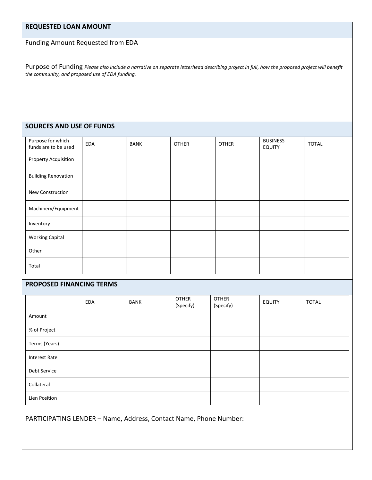# **REQUESTED LOAN AMOUNT**

Funding Amount Requested from EDA

Purpose of Funding *Please also include a narrative on separate letterhead describing project in full, how the proposed project will benefit the community, and proposed use of EDA funding.*

#### **SOURCES AND USE OF FUNDS**

| Purpose for which<br>funds are to be used | EDA | <b>BANK</b> | <b>OTHER</b> | <b>OTHER</b> | <b>BUSINESS</b><br><b>EQUITY</b> | <b>TOTAL</b> |
|-------------------------------------------|-----|-------------|--------------|--------------|----------------------------------|--------------|
| Property Acquisition                      |     |             |              |              |                                  |              |
| <b>Building Renovation</b>                |     |             |              |              |                                  |              |
| New Construction                          |     |             |              |              |                                  |              |
| Machinery/Equipment                       |     |             |              |              |                                  |              |
| Inventory                                 |     |             |              |              |                                  |              |
| <b>Working Capital</b>                    |     |             |              |              |                                  |              |
| Other                                     |     |             |              |              |                                  |              |
| Total                                     |     |             |              |              |                                  |              |

## **PROPOSED FINANCING TERMS**

|                      | EDA | BANK | <b>OTHER</b><br>(Specify) | <b>OTHER</b><br>(Specify) | <b>EQUITY</b> | <b>TOTAL</b> |
|----------------------|-----|------|---------------------------|---------------------------|---------------|--------------|
| Amount               |     |      |                           |                           |               |              |
| % of Project         |     |      |                           |                           |               |              |
| Terms (Years)        |     |      |                           |                           |               |              |
| <b>Interest Rate</b> |     |      |                           |                           |               |              |
| Debt Service         |     |      |                           |                           |               |              |
| Collateral           |     |      |                           |                           |               |              |
| Lien Position        |     |      |                           |                           |               |              |

PARTICIPATING LENDER – Name, Address, Contact Name, Phone Number: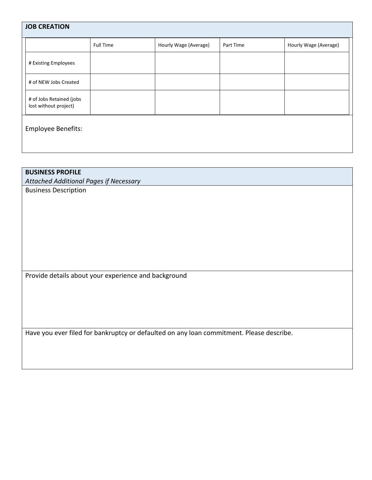| <b>JOB CREATION</b>                               |                  |                       |           |                       |  |
|---------------------------------------------------|------------------|-----------------------|-----------|-----------------------|--|
|                                                   | <b>Full Time</b> | Hourly Wage (Average) | Part Time | Hourly Wage (Average) |  |
| # Existing Employees                              |                  |                       |           |                       |  |
| # of NEW Jobs Created                             |                  |                       |           |                       |  |
| # of Jobs Retained (jobs<br>lost without project) |                  |                       |           |                       |  |
| Employee Benefits:                                |                  |                       |           |                       |  |

# **BUSINESS PROFILE**

*Attached Additional Pages if Necessary*

Business Description

Provide details about your experience and background

Have you ever filed for bankruptcy or defaulted on any loan commitment. Please describe.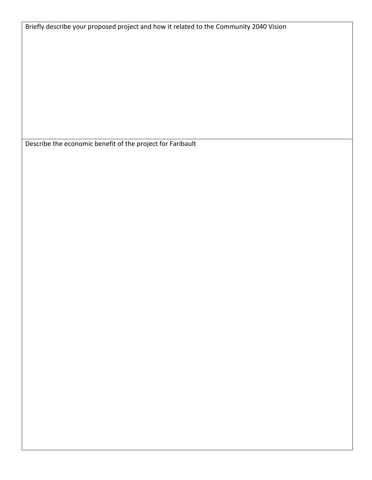Briefly describe your proposed project and how it related to the Community 2040 Vision

Describe the economic benefit of the project for Faribault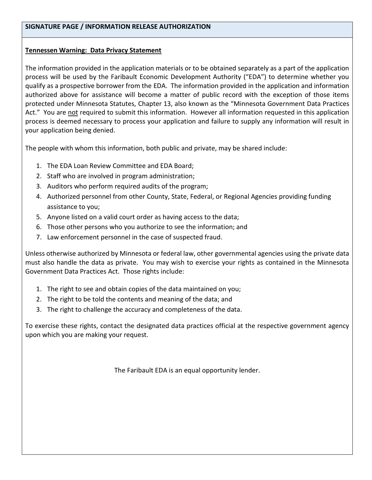## **Tennessen Warning: Data Privacy Statement**

The information provided in the application materials or to be obtained separately as a part of the application process will be used by the Faribault Economic Development Authority ("EDA") to determine whether you qualify as a prospective borrower from the EDA. The information provided in the application and information authorized above for assistance will become a matter of public record with the exception of those items protected under Minnesota Statutes, Chapter 13, also known as the "Minnesota Government Data Practices Act." You are not required to submit this information. However all information requested in this application process is deemed necessary to process your application and failure to supply any information will result in your application being denied.

The people with whom this information, both public and private, may be shared include:

- 1. The EDA Loan Review Committee and EDA Board;
- 2. Staff who are involved in program administration;
- 3. Auditors who perform required audits of the program;
- 4. Authorized personnel from other County, State, Federal, or Regional Agencies providing funding assistance to you;
- 5. Anyone listed on a valid court order as having access to the data;
- 6. Those other persons who you authorize to see the information; and
- 7. Law enforcement personnel in the case of suspected fraud.

Unless otherwise authorized by Minnesota or federal law, other governmental agencies using the private data must also handle the data as private. You may wish to exercise your rights as contained in the Minnesota Government Data Practices Act. Those rights include:

- 1. The right to see and obtain copies of the data maintained on you;
- 2. The right to be told the contents and meaning of the data; and
- 3. The right to challenge the accuracy and completeness of the data.

To exercise these rights, contact the designated data practices official at the respective government agency upon which you are making your request.

The Faribault EDA is an equal opportunity lender.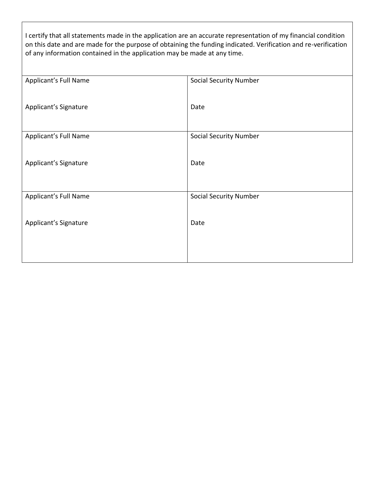I certify that all statements made in the application are an accurate representation of my financial condition on this date and are made for the purpose of obtaining the funding indicated. Verification and re-verification of any information contained in the application may be made at any time.

| Applicant's Full Name | <b>Social Security Number</b> |
|-----------------------|-------------------------------|
|                       |                               |
|                       |                               |
| Applicant's Signature | Date                          |
|                       |                               |
|                       |                               |
|                       |                               |
| Applicant's Full Name | <b>Social Security Number</b> |
|                       |                               |
|                       |                               |
| Applicant's Signature | Date                          |
|                       |                               |
|                       |                               |
|                       |                               |
| Applicant's Full Name | <b>Social Security Number</b> |
|                       |                               |
|                       |                               |
|                       | Date                          |
| Applicant's Signature |                               |
|                       |                               |
|                       |                               |
|                       |                               |
|                       |                               |